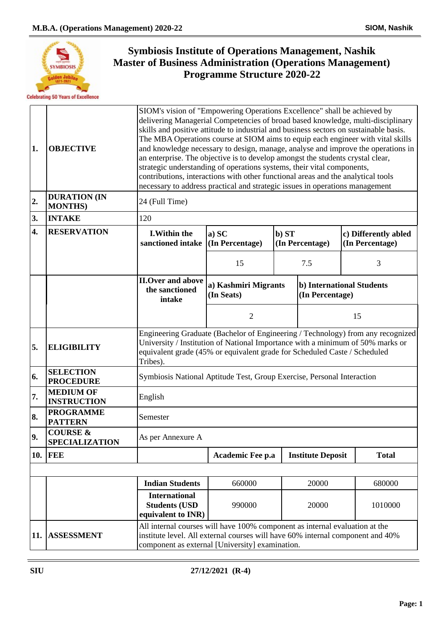

| 1.               | <b>OBJECTIVE</b>                             | SIOM's vision of "Empowering Operations Excellence" shall be achieved by<br>delivering Managerial Competencies of broad based knowledge, multi-disciplinary<br>skills and positive attitude to industrial and business sectors on sustainable basis.<br>The MBA Operations course at SIOM aims to equip each engineer with vital skills<br>and knowledge necessary to design, manage, analyse and improve the operations in<br>an enterprise. The objective is to develop amongst the students crystal clear,<br>strategic understanding of operations systems, their vital components,<br>contributions, interactions with other functional areas and the analytical tools<br>necessary to address practical and strategic issues in operations management |                                                                                |       |                                              |    |                                         |  |
|------------------|----------------------------------------------|-------------------------------------------------------------------------------------------------------------------------------------------------------------------------------------------------------------------------------------------------------------------------------------------------------------------------------------------------------------------------------------------------------------------------------------------------------------------------------------------------------------------------------------------------------------------------------------------------------------------------------------------------------------------------------------------------------------------------------------------------------------|--------------------------------------------------------------------------------|-------|----------------------------------------------|----|-----------------------------------------|--|
| 2.               | <b>DURATION (IN</b><br><b>MONTHS)</b>        | 24 (Full Time)                                                                                                                                                                                                                                                                                                                                                                                                                                                                                                                                                                                                                                                                                                                                              |                                                                                |       |                                              |    |                                         |  |
| 3.               | <b>INTAKE</b>                                | 120                                                                                                                                                                                                                                                                                                                                                                                                                                                                                                                                                                                                                                                                                                                                                         |                                                                                |       |                                              |    |                                         |  |
| $\overline{4}$ . | <b>RESERVATION</b>                           | <b>I.Within the</b><br>sanctioned intake (In Percentage)                                                                                                                                                                                                                                                                                                                                                                                                                                                                                                                                                                                                                                                                                                    | a) SC                                                                          | b) ST | (In Percentage)                              |    | c) Differently abled<br>(In Percentage) |  |
|                  |                                              |                                                                                                                                                                                                                                                                                                                                                                                                                                                                                                                                                                                                                                                                                                                                                             | 15                                                                             |       | 7.5                                          |    | 3                                       |  |
|                  |                                              | <b>II.Over and above</b><br>the sanctioned<br>intake                                                                                                                                                                                                                                                                                                                                                                                                                                                                                                                                                                                                                                                                                                        | a) Kashmiri Migrants<br>(In Seats)                                             |       | b) International Students<br>(In Percentage) |    |                                         |  |
|                  |                                              |                                                                                                                                                                                                                                                                                                                                                                                                                                                                                                                                                                                                                                                                                                                                                             | $\overline{2}$                                                                 |       |                                              | 15 |                                         |  |
| 5.               | <b>ELIGIBILITY</b>                           | Engineering Graduate (Bachelor of Engineering / Technology) from any recognized<br>equivalent grade (45% or equivalent grade for Scheduled Caste / Scheduled<br>Tribes).                                                                                                                                                                                                                                                                                                                                                                                                                                                                                                                                                                                    | University / Institution of National Importance with a minimum of 50% marks or |       |                                              |    |                                         |  |
| 6.               | <b>SELECTION</b><br><b>PROCEDURE</b>         | Symbiosis National Aptitude Test, Group Exercise, Personal Interaction                                                                                                                                                                                                                                                                                                                                                                                                                                                                                                                                                                                                                                                                                      |                                                                                |       |                                              |    |                                         |  |
| 7.               | <b>MEDIUM OF</b><br><b>INSTRUCTION</b>       | English                                                                                                                                                                                                                                                                                                                                                                                                                                                                                                                                                                                                                                                                                                                                                     |                                                                                |       |                                              |    |                                         |  |
| 8.               | <b>PROGRAMME</b><br><b>PATTERN</b>           | Semester                                                                                                                                                                                                                                                                                                                                                                                                                                                                                                                                                                                                                                                                                                                                                    |                                                                                |       |                                              |    |                                         |  |
| 9.               | <b>COURSE &amp;</b><br><b>SPECIALIZATION</b> | As per Annexure A                                                                                                                                                                                                                                                                                                                                                                                                                                                                                                                                                                                                                                                                                                                                           |                                                                                |       |                                              |    |                                         |  |
|                  | <b>10. FEE</b>                               |                                                                                                                                                                                                                                                                                                                                                                                                                                                                                                                                                                                                                                                                                                                                                             | Academic Fee p.a                                                               |       | <b>Institute Deposit</b>                     |    | <b>Total</b>                            |  |
|                  |                                              |                                                                                                                                                                                                                                                                                                                                                                                                                                                                                                                                                                                                                                                                                                                                                             |                                                                                |       |                                              |    |                                         |  |
|                  |                                              | <b>Indian Students</b>                                                                                                                                                                                                                                                                                                                                                                                                                                                                                                                                                                                                                                                                                                                                      | 660000                                                                         |       | 20000                                        |    | 680000                                  |  |
|                  |                                              | <b>International</b><br><b>Students (USD</b><br>equivalent to INR)                                                                                                                                                                                                                                                                                                                                                                                                                                                                                                                                                                                                                                                                                          | 990000                                                                         |       | 20000<br>1010000                             |    |                                         |  |
| 11.              | <b>ASSESSMENT</b>                            | All internal courses will have 100% component as internal evaluation at the<br>institute level. All external courses will have 60% internal component and 40%<br>component as external [University] examination.                                                                                                                                                                                                                                                                                                                                                                                                                                                                                                                                            |                                                                                |       |                                              |    |                                         |  |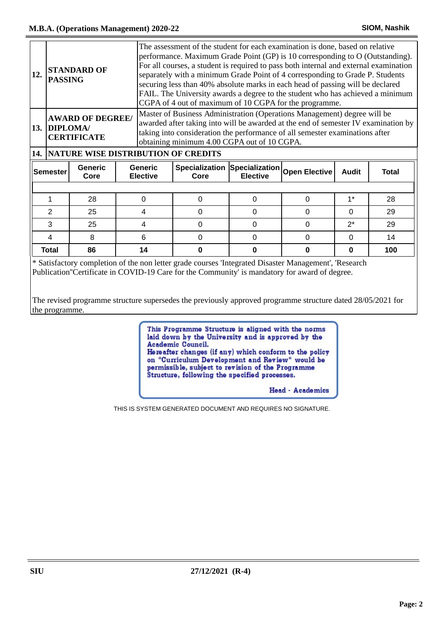| 12.                                       | <b>PASSING</b>                                                                                                                                                                                                                                                                                                                                                 | <b>STANDARD OF</b> |                                                 | The assessment of the student for each examination is done, based on relative<br>performance. Maximum Grade Point (GP) is 10 corresponding to O (Outstanding).<br>For all courses, a student is required to pass both internal and external examination<br>separately with a minimum Grade Point of 4 corresponding to Grade P. Students<br>securing less than 40% absolute marks in each head of passing will be declared<br>FAIL. The University awards a degree to the student who has achieved a minimum<br>CGPA of 4 out of maximum of 10 CGPA for the programme. |                                             |          |       |              |
|-------------------------------------------|----------------------------------------------------------------------------------------------------------------------------------------------------------------------------------------------------------------------------------------------------------------------------------------------------------------------------------------------------------------|--------------------|-------------------------------------------------|------------------------------------------------------------------------------------------------------------------------------------------------------------------------------------------------------------------------------------------------------------------------------------------------------------------------------------------------------------------------------------------------------------------------------------------------------------------------------------------------------------------------------------------------------------------------|---------------------------------------------|----------|-------|--------------|
|                                           | Master of Business Administration (Operations Management) degree will be<br><b>AWARD OF DEGREE/</b><br>awarded after taking into will be awarded at the end of semester IV examination by<br>13. DIPLOMA/<br>taking into consideration the performance of all semester examinations after<br><b>CERTIFICATE</b><br>obtaining minimum 4.00 CGPA out of 10 CGPA. |                    |                                                 |                                                                                                                                                                                                                                                                                                                                                                                                                                                                                                                                                                        |                                             |          |       |              |
|                                           |                                                                                                                                                                                                                                                                                                                                                                |                    | <b>14.  NATURE WISE DISTRIBUTION OF CREDITS</b> |                                                                                                                                                                                                                                                                                                                                                                                                                                                                                                                                                                        |                                             |          |       |              |
| <b>Generic</b><br><b>Semester</b><br>Core |                                                                                                                                                                                                                                                                                                                                                                | <b>Generic</b>     |                                                 |                                                                                                                                                                                                                                                                                                                                                                                                                                                                                                                                                                        | Specialization Specialization Open Elective |          |       |              |
|                                           |                                                                                                                                                                                                                                                                                                                                                                |                    | <b>Elective</b>                                 | Core                                                                                                                                                                                                                                                                                                                                                                                                                                                                                                                                                                   | <b>Elective</b>                             |          | Audit | <b>Total</b> |
|                                           |                                                                                                                                                                                                                                                                                                                                                                |                    |                                                 |                                                                                                                                                                                                                                                                                                                                                                                                                                                                                                                                                                        |                                             |          |       |              |
|                                           |                                                                                                                                                                                                                                                                                                                                                                | 28                 | $\Omega$                                        | $\Omega$                                                                                                                                                                                                                                                                                                                                                                                                                                                                                                                                                               | $\Omega$                                    | $\Omega$ | $1*$  | 28           |
|                                           | 2                                                                                                                                                                                                                                                                                                                                                              | 25                 | 4                                               | $\Omega$                                                                                                                                                                                                                                                                                                                                                                                                                                                                                                                                                               | $\Omega$                                    | 0        | 0     | 29           |
|                                           | 3                                                                                                                                                                                                                                                                                                                                                              | 25                 | 4                                               | $\Omega$                                                                                                                                                                                                                                                                                                                                                                                                                                                                                                                                                               | 0                                           | 0        | $2^*$ | 29           |
|                                           | 4                                                                                                                                                                                                                                                                                                                                                              | 8                  | 6                                               | $\Omega$                                                                                                                                                                                                                                                                                                                                                                                                                                                                                                                                                               | $\Omega$                                    | $\Omega$ | 0     | 14           |

\* Satisfactory completion of the non letter grade courses 'Integrated Disaster Management', 'Research Publication''Certificate in COVID-19 Care for the Community' is mandatory for award of degree.

The revised programme structure supersedes the previously approved programme structure dated 28/05/2021 for the programme.

> This Programme Structure is aligned with the norms laid down by the University and is approved by the Academic Council. Hereafter changes (if any) which conform to the policy on "Curriculum Development and Review" would be permissible, subject to revision of the Programme<br>Structure, following the specified processes.

> > Head - Academics

THIS IS SYSTEM GENERATED DOCUMENT AND REQUIRES NO SIGNATURE.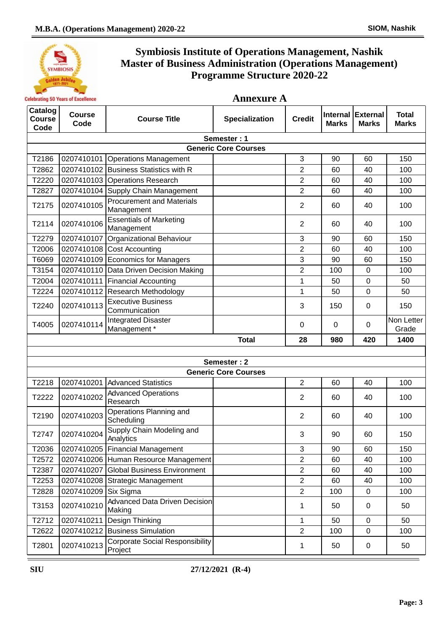

| <b>Annexure A</b> |  |
|-------------------|--|
|-------------------|--|

| Catalog<br><b>Course</b><br>Code | <b>Course</b><br>Code | <b>Course Title</b>                               | <b>Specialization</b>       | <b>Credit</b>  | <b>Internal</b><br><b>Marks</b> | <b>External</b><br><b>Marks</b> | <b>Total</b><br><b>Marks</b> |
|----------------------------------|-----------------------|---------------------------------------------------|-----------------------------|----------------|---------------------------------|---------------------------------|------------------------------|
|                                  |                       |                                                   | Semester: 1                 |                |                                 |                                 |                              |
|                                  |                       |                                                   | <b>Generic Core Courses</b> |                |                                 |                                 |                              |
| T2186                            |                       | 0207410101 Operations Management                  |                             | 3              | 90                              | 60                              | 150                          |
| T2862                            |                       | 0207410102 Business Statistics with R             |                             | 2              | 60                              | 40                              | 100                          |
| T2220                            |                       | 0207410103 Operations Research                    |                             | $\overline{2}$ | 60                              | 40                              | 100                          |
| T2827                            |                       | 0207410104 Supply Chain Management                |                             | $\overline{2}$ | 60                              | 40                              | 100                          |
| T2175                            | 0207410105            | <b>Procurement and Materials</b><br>Management    |                             | $\overline{2}$ | 60                              | 40                              | 100                          |
| T2114                            | 0207410106            | <b>Essentials of Marketing</b><br>Management      |                             | $\overline{2}$ | 60                              | 40                              | 100                          |
| T2279                            | 0207410107            | Organizational Behaviour                          |                             | 3              | 90                              | 60                              | 150                          |
| T2006                            |                       | 0207410108 Cost Accounting                        |                             | $\overline{2}$ | 60                              | 40                              | 100                          |
| T6069                            |                       | 0207410109 Economics for Managers                 |                             | 3              | 90                              | 60                              | 150                          |
| T3154                            |                       | 0207410110 Data Driven Decision Making            |                             | $\overline{2}$ | 100                             | 0                               | 100                          |
| T2004                            |                       | 0207410111 Financial Accounting                   |                             | 1              | 50                              | 0                               | 50                           |
| T2224                            |                       | 0207410112 Research Methodology                   |                             | 1              | 50                              | $\mathbf 0$                     | 50                           |
| T2240                            | 0207410113            | <b>Executive Business</b><br>Communication        |                             | 3              | 150                             | 0                               | 150                          |
| T4005                            | 0207410114            | <b>Integrated Disaster</b><br>Management *        |                             | 0              | $\Omega$                        | 0                               | Non Letter<br>Grade          |
|                                  |                       |                                                   | <b>Total</b>                | 28             | 980                             | 420                             | 1400                         |
|                                  |                       |                                                   |                             |                |                                 |                                 |                              |
|                                  |                       |                                                   | Semester: 2                 |                |                                 |                                 |                              |
|                                  |                       |                                                   | <b>Generic Core Courses</b> |                |                                 |                                 |                              |
| T2218                            |                       | 0207410201 Advanced Statistics                    |                             | $\overline{2}$ | 60                              | 40                              | 100                          |
| T2222                            | 0207410202            | <b>Advanced Operations</b><br>Research            |                             | $\overline{2}$ | 60                              | 40                              | 100                          |
| T2190                            | 0207410203            | Operations Planning and<br>Scheduling             |                             | $\overline{2}$ | 60                              | 40                              | 100                          |
| T2747                            | 0207410204            | Supply Chain Modeling and<br>Analytics            |                             | 3              | 90                              | 60                              | 150                          |
| T2036                            |                       | 0207410205   Financial Management                 |                             | 3              | 90                              | 60                              | 150                          |
| T2572                            |                       | 0207410206 Human Resource Management              |                             | $\overline{c}$ | 60                              | 40                              | 100                          |
| T2387                            |                       | 0207410207 Global Business Environment            |                             | $\overline{2}$ | 60                              | 40                              | 100                          |
| T2253                            |                       | 0207410208 Strategic Management                   |                             | $\overline{2}$ | 60                              | 40                              | 100                          |
| T2828                            | 0207410209 Six Sigma  |                                                   |                             | $\overline{2}$ | 100                             | 0                               | 100                          |
| T3153                            | 0207410210            | Advanced Data Driven Decision<br>Making           |                             | 1              | 50                              | $\mathbf 0$                     | 50                           |
| T2712                            | 0207410211            | Design Thinking                                   |                             | 1              | 50                              | $\mathbf 0$                     | 50                           |
| T2622                            |                       | 0207410212 Business Simulation                    |                             | $\overline{2}$ | 100                             | 0                               | 100                          |
| T2801                            | 0207410213            | <b>Corporate Social Responsibility</b><br>Project |                             | 1              | 50                              | $\pmb{0}$                       | 50                           |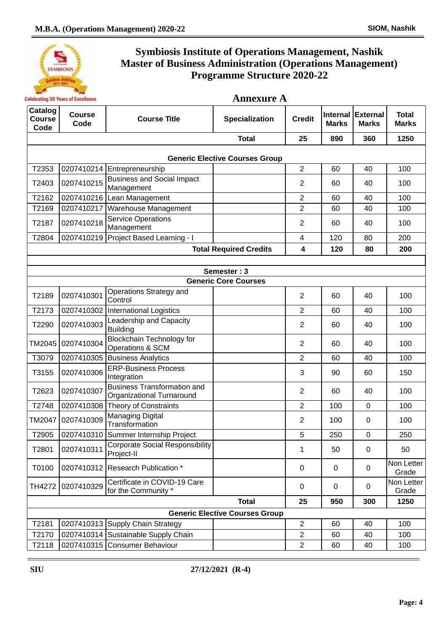

| <b>Annexure A</b><br><b>Celebrating 50 Years of Excellence</b> |                       |                                                                 |                                       |                |              |                            |                              |
|----------------------------------------------------------------|-----------------------|-----------------------------------------------------------------|---------------------------------------|----------------|--------------|----------------------------|------------------------------|
| Catalog<br><b>Course</b><br>Code                               | <b>Course</b><br>Code | <b>Course Title</b>                                             | Specialization                        | <b>Credit</b>  | <b>Marks</b> | Internal External<br>Marks | <b>Total</b><br><b>Marks</b> |
|                                                                |                       |                                                                 | <b>Total</b>                          | 25             | 890          | 360                        | 1250                         |
|                                                                |                       |                                                                 | <b>Generic Elective Courses Group</b> |                |              |                            |                              |
| T2353                                                          |                       | 0207410214 Entrepreneurship                                     |                                       | $\overline{2}$ | 60           | 40                         | 100                          |
| T2403                                                          | 0207410215            | <b>Business and Social Impact</b><br>Management                 |                                       | 2              | 60           | 40                         | 100                          |
| T2162                                                          |                       | 0207410216 Lean Management                                      |                                       | $\overline{2}$ | 60           | 40                         | 100                          |
| T2169                                                          | 0207410217            | Warehouse Management                                            |                                       | $\overline{2}$ | 60           | 40                         | 100                          |
| T2187                                                          | 0207410218            | <b>Service Operations</b><br>Management                         |                                       | $\overline{2}$ | 60           | 40                         | 100                          |
| T2804                                                          | 0207410219            | Project Based Learning - I                                      |                                       | $\overline{4}$ | 120          | 80                         | 200                          |
|                                                                |                       |                                                                 | <b>Total Required Credits</b>         | 4              | 120          | 80                         | 200                          |
|                                                                |                       |                                                                 |                                       |                |              |                            |                              |
|                                                                |                       |                                                                 | Semester: 3                           |                |              |                            |                              |
|                                                                |                       |                                                                 | <b>Generic Core Courses</b>           |                |              |                            |                              |
| T2189                                                          | 0207410301            | Operations Strategy and<br>Control                              |                                       | $\overline{2}$ | 60           | 40                         | 100                          |
| T2173                                                          | 0207410302            | International Logistics                                         |                                       | $\overline{2}$ | 60           | 40                         | 100                          |
| T2290                                                          | 0207410303            | Leadership and Capacity<br><b>Building</b>                      |                                       | $\overline{2}$ | 60           | 40                         | 100                          |
| TM2045                                                         | 0207410304            | <b>Blockchain Technology for</b><br>Operations & SCM            |                                       | $\overline{2}$ | 60           | 40                         | 100                          |
| T3079                                                          |                       | 0207410305 Business Analytics                                   |                                       | $\overline{2}$ | 60           | 40                         | 100                          |
| T3155                                                          | 0207410306            | <b>ERP-Business Process</b><br>Integration                      |                                       | 3              | 90           | 60                         | 150                          |
| T2623                                                          | 0207410307            | <b>Business Transformation and</b><br>Organizational Turnaround |                                       | $\overline{2}$ | 60           | 40                         | 100                          |
| T2748                                                          | 0207410308            | <b>Theory of Constraints</b>                                    |                                       | $\overline{2}$ | 100          | 0                          | 100                          |
| TM2047                                                         | 0207410309            | <b>Managing Digital</b><br>Transformation                       |                                       | $\overline{2}$ | 100          | 0                          | 100                          |
| T2905                                                          | 0207410310            | Summer Internship Project                                       |                                       | 5              | 250          | 0                          | 250                          |
| T2801                                                          | 0207410311            | <b>Corporate Social Responsibility</b><br>Project-II            |                                       | 1              | 50           | 0                          | 50                           |
| T0100                                                          |                       | 0207410312 Research Publication *                               |                                       | $\mathbf 0$    | $\mathbf 0$  | 0                          | Non Letter<br>Grade          |
| TH4272                                                         | 0207410329            | Certificate in COVID-19 Care<br>for the Community *             |                                       | 0              | $\mathbf 0$  | 0                          | Non Letter<br>Grade          |
|                                                                |                       |                                                                 | <b>Total</b>                          | 25             | 950          | 300                        | 1250                         |
|                                                                |                       |                                                                 | <b>Generic Elective Courses Group</b> |                |              |                            |                              |
| T2181                                                          |                       | 0207410313 Supply Chain Strategy                                |                                       | $\overline{2}$ | 60           | 40                         | 100                          |
| T2170                                                          |                       | 0207410314 Sustainable Supply Chain                             |                                       | $\overline{2}$ | 60           | 40                         | 100                          |
| T2118                                                          |                       | 0207410315 Consumer Behaviour                                   |                                       | $\mathbf{2}$   | 60           | 40                         | 100                          |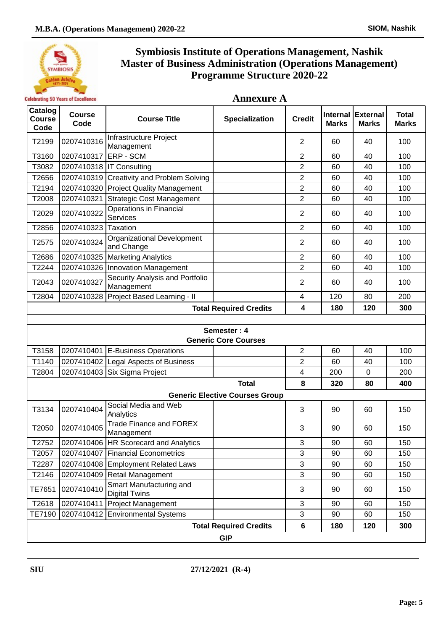

| Catalog<br><b>Course</b><br>Code | <b>Course</b><br>Code | <b>Course Title</b>                             | <b>Specialization</b>                 | <b>Credit</b>  | <b>Internal</b><br><b>Marks</b> | <b>External</b><br><b>Marks</b> | <b>Total</b><br><b>Marks</b> |  |  |
|----------------------------------|-----------------------|-------------------------------------------------|---------------------------------------|----------------|---------------------------------|---------------------------------|------------------------------|--|--|
| T2199                            | 0207410316            | Infrastructure Project<br>Management            |                                       | $\overline{2}$ | 60                              | 40                              | 100                          |  |  |
| T3160                            | 0207410317            | <b>IERP - SCM</b>                               |                                       | $\overline{2}$ | 60                              | 40                              | 100                          |  |  |
| T3082                            |                       | 0207410318   IT Consulting                      |                                       | $\overline{2}$ | 60                              | 40                              | 100                          |  |  |
| T2656                            |                       | 0207410319 Creativity and Problem Solving       |                                       | $\overline{2}$ | 60                              | 40                              | 100                          |  |  |
| T2194                            |                       | 0207410320 Project Quality Management           |                                       | $\overline{2}$ | 60                              | 40                              | 100                          |  |  |
| T2008                            | 0207410321            | Strategic Cost Management                       |                                       | $\overline{2}$ | 60                              | 40                              | 100                          |  |  |
| T2029                            | 0207410322            | <b>Operations in Financial</b><br>Services      |                                       | $\overline{2}$ | 60                              | 40                              | 100                          |  |  |
| T2856                            | 0207410323 Taxation   |                                                 |                                       | $\overline{2}$ | 60                              | 40                              | 100                          |  |  |
| T2575                            | 0207410324            | Organizational Development<br>and Change        |                                       | $\overline{2}$ | 60                              | 40                              | 100                          |  |  |
| T2686                            | 0207410325            | <b>Marketing Analytics</b>                      |                                       | $\overline{2}$ | 60                              | 40                              | 100                          |  |  |
| T2244                            |                       | 0207410326 Innovation Management                |                                       | $\overline{2}$ | 60                              | 40                              | 100                          |  |  |
| T2043                            | 0207410327            | Security Analysis and Portfolio<br>Management   |                                       | $\overline{2}$ | 60                              | 40                              | 100                          |  |  |
| T2804                            |                       | 0207410328 Project Based Learning - II          |                                       | 4              | 120                             | 80                              | 200                          |  |  |
|                                  |                       |                                                 | <b>Total Required Credits</b>         | 4              | 180                             | 120                             | 300                          |  |  |
|                                  |                       |                                                 |                                       |                |                                 |                                 |                              |  |  |
|                                  |                       |                                                 | Semester: 4                           |                |                                 |                                 |                              |  |  |
|                                  |                       |                                                 | <b>Generic Core Courses</b>           |                |                                 |                                 |                              |  |  |
| T3158                            |                       | 0207410401 E-Business Operations                |                                       | $\overline{2}$ | 60                              | 40                              | 100                          |  |  |
| T1140                            |                       | 0207410402 Legal Aspects of Business            |                                       | $\overline{2}$ | 60                              | 40                              | 100                          |  |  |
| T2804                            |                       | 0207410403 Six Sigma Project                    |                                       | 4              | 200                             | $\mathbf 0$                     | 200                          |  |  |
|                                  |                       |                                                 | <b>Total</b>                          | 8              | 320                             | 80                              | 400                          |  |  |
|                                  |                       |                                                 | <b>Generic Elective Courses Group</b> |                |                                 |                                 |                              |  |  |
| T3134                            | 0207410404            | Social Media and Web<br>Analytics               |                                       | 3              | 90                              | 60                              | 150                          |  |  |
| T2050                            | 0207410405            | <b>Trade Finance and FOREX</b><br>Management    |                                       | 3              | 90                              | 60                              | 150                          |  |  |
| T2752                            |                       | 0207410406   HR Scorecard and Analytics         |                                       | 3              | 90                              | 60                              | 150                          |  |  |
| T2057                            | 0207410407            | <b>Financial Econometrics</b>                   |                                       | 3              | 90                              | 60                              | 150                          |  |  |
| T2287                            |                       | 0207410408 Employment Related Laws              |                                       | $\sqrt{3}$     | 90                              | 60                              | 150                          |  |  |
| T2146                            |                       | 0207410409 Retail Management                    |                                       | 3              | 90                              | 60                              | 150                          |  |  |
| TE7651                           | 0207410410            | Smart Manufacturing and<br><b>Digital Twins</b> |                                       | 3              | 90                              | 60                              | 150                          |  |  |
| T2618                            | 0207410411            | <b>Project Management</b>                       |                                       | 3              | 90                              | 60                              | 150                          |  |  |
| TE7190                           |                       | 0207410412 Environmental Systems                |                                       | 3              | 90                              | 60                              | 150                          |  |  |
|                                  |                       |                                                 | <b>Total Required Credits</b>         | 6              | 180                             | 120                             | 300                          |  |  |
|                                  | <b>GIP</b>            |                                                 |                                       |                |                                 |                                 |                              |  |  |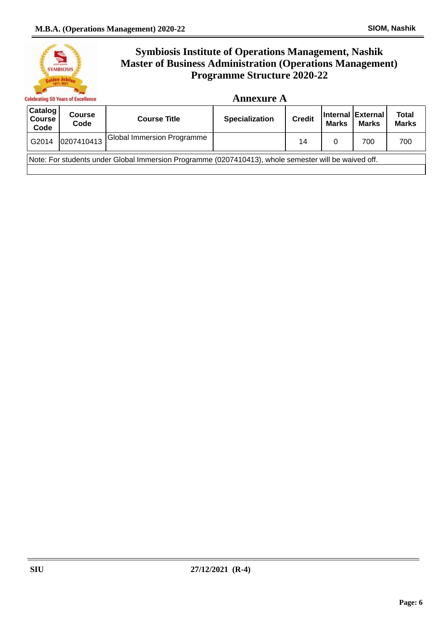

#### **Annexure A**

| ∣Catalog <sup>∣</sup><br><b>Course</b><br>Code | <b>Course</b><br>Code                                                                                | <b>Course Title</b>               | <b>Specialization</b> | <b>Credit</b> | <b>Marks</b> | Internal External<br><b>Marks</b> | <b>Total</b><br><b>Marks</b> |  |
|------------------------------------------------|------------------------------------------------------------------------------------------------------|-----------------------------------|-----------------------|---------------|--------------|-----------------------------------|------------------------------|--|
| G2014                                          | 0207410413                                                                                           | <b>Global Immersion Programme</b> |                       | 14            |              | 700                               | 700                          |  |
|                                                | Note: For students under Global Immersion Programme (0207410413), whole semester will be waived off. |                                   |                       |               |              |                                   |                              |  |